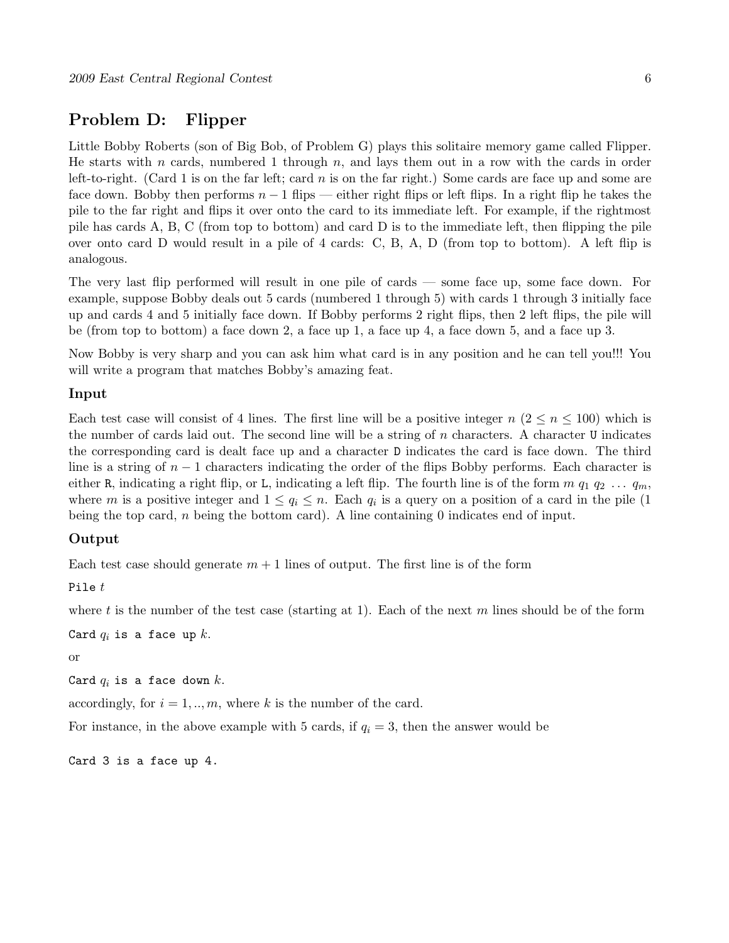# Problem D: Flipper

Little Bobby Roberts (son of Big Bob, of Problem G) plays this solitaire memory game called Flipper. He starts with n cards, numbered 1 through  $n$ , and lays them out in a row with the cards in order left-to-right. (Card 1 is on the far left; card  $n$  is on the far right.) Some cards are face up and some are face down. Bobby then performs  $n-1$  flips — either right flips or left flips. In a right flip he takes the pile to the far right and flips it over onto the card to its immediate left. For example, if the rightmost pile has cards A, B, C (from top to bottom) and card D is to the immediate left, then flipping the pile over onto card D would result in a pile of 4 cards: C, B, A, D (from top to bottom). A left flip is analogous.

The very last flip performed will result in one pile of cards — some face up, some face down. For example, suppose Bobby deals out 5 cards (numbered 1 through 5) with cards 1 through 3 initially face up and cards 4 and 5 initially face down. If Bobby performs 2 right flips, then 2 left flips, the pile will be (from top to bottom) a face down 2, a face up 1, a face up 4, a face down 5, and a face up 3.

Now Bobby is very sharp and you can ask him what card is in any position and he can tell you!!! You will write a program that matches Bobby's amazing feat.

### Input

Each test case will consist of 4 lines. The first line will be a positive integer  $n (2 \leq n \leq 100)$  which is the number of cards laid out. The second line will be a string of  $n$  characters. A character U indicates the corresponding card is dealt face up and a character D indicates the card is face down. The third line is a string of  $n-1$  characters indicating the order of the flips Bobby performs. Each character is either R, indicating a right flip, or L, indicating a left flip. The fourth line is of the form  $m q_1 q_2 \ldots q_m$ , where m is a positive integer and  $1 \le q_i \le n$ . Each  $q_i$  is a query on a position of a card in the pile (1) being the top card,  $n$  being the bottom card). A line containing 0 indicates end of input.

### Output

Each test case should generate  $m + 1$  lines of output. The first line is of the form

Pile  $t$ 

where t is the number of the test case (starting at 1). Each of the next m lines should be of the form

Card  $q_i$  is a face up k.

or

Card  $q_i$  is a face down  $k$ .

accordingly, for  $i = 1, \ldots, m$ , where k is the number of the card.

For instance, in the above example with 5 cards, if  $q_i = 3$ , then the answer would be

Card 3 is a face up 4.